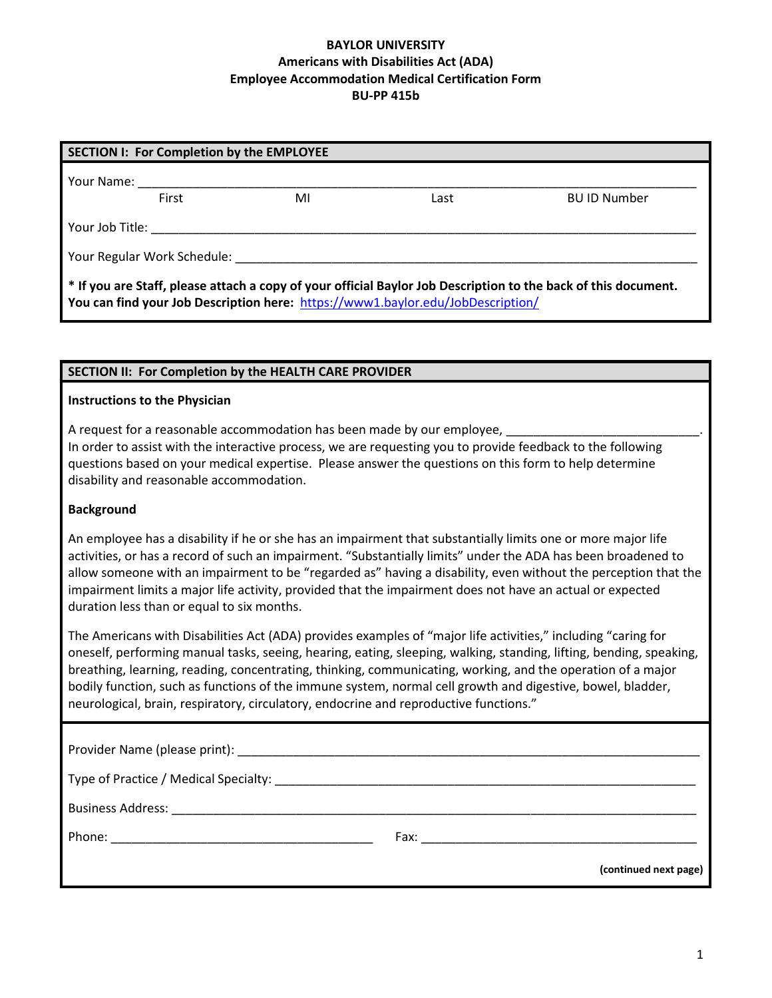## **BAYLOR UNIVERSITY Americans with Disabilities Act (ADA) Employee Accommodation Medical Certification Form BU-PP 415b**

| <b>SECTION I: For Completion by the EMPLOYEE</b>                                                                                                                                                  |       |    |      |                     |  |
|---------------------------------------------------------------------------------------------------------------------------------------------------------------------------------------------------|-------|----|------|---------------------|--|
| Your Name:                                                                                                                                                                                        |       |    |      |                     |  |
|                                                                                                                                                                                                   | First | MI | Last | <b>BU ID Number</b> |  |
| Your Job Title:                                                                                                                                                                                   |       |    |      |                     |  |
| Your Regular Work Schedule:                                                                                                                                                                       |       |    |      |                     |  |
| * If you are Staff, please attach a copy of your official Baylor Job Description to the back of this document.<br>You can find your Job Description here: https://www1.baylor.edu/JobDescription/ |       |    |      |                     |  |
|                                                                                                                                                                                                   |       |    |      |                     |  |

## **SECTION II: For Completion by the HEALTH CARE PROVIDER**

#### **Instructions to the Physician**

A request for a reasonable accommodation has been made by our employee, In order to assist with the interactive process, we are requesting you to provide feedback to the following questions based on your medical expertise. Please answer the questions on this form to help determine disability and reasonable accommodation.

## **Background**

An employee has a disability if he or she has an impairment that substantially limits one or more major life activities, or has a record of such an impairment. "Substantially limits" under the ADA has been broadened to allow someone with an impairment to be "regarded as" having a disability, even without the perception that the impairment limits a major life activity, provided that the impairment does not have an actual or expected duration less than or equal to six months.

The Americans with Disabilities Act (ADA) provides examples of "major life activities," including "caring for oneself, performing manual tasks, seeing, hearing, eating, sleeping, walking, standing, lifting, bending, speaking, breathing, learning, reading, concentrating, thinking, communicating, working, and the operation of a major bodily function, such as functions of the immune system, normal cell growth and digestive, bowel, bladder, neurological, brain, respiratory, circulatory, endocrine and reproductive functions."

|  | (continued next page) |  |  |  |
|--|-----------------------|--|--|--|